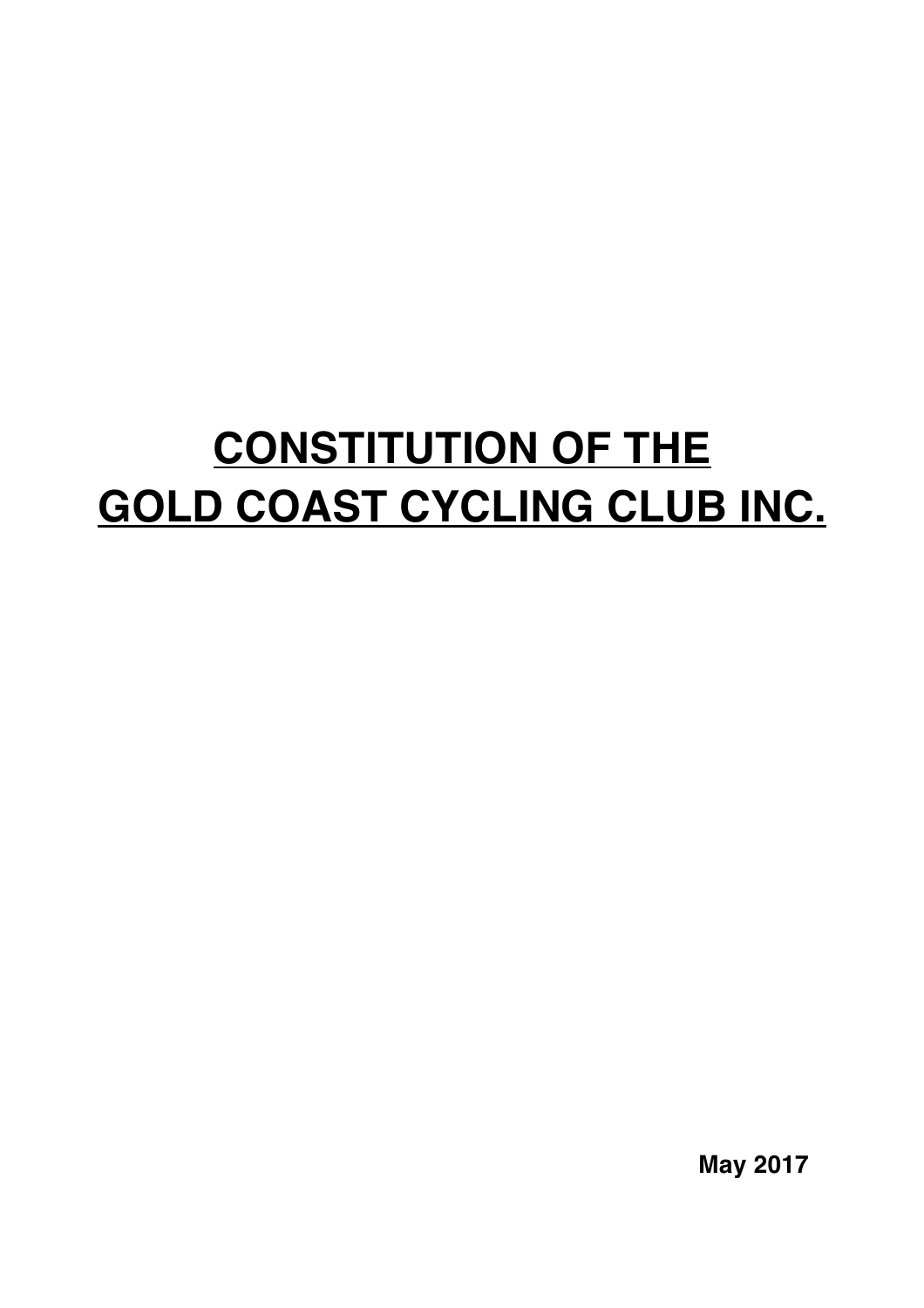# **CONSTITUTION OF THE GOLD COAST CYCLING CLUB INC.**

**May 2017**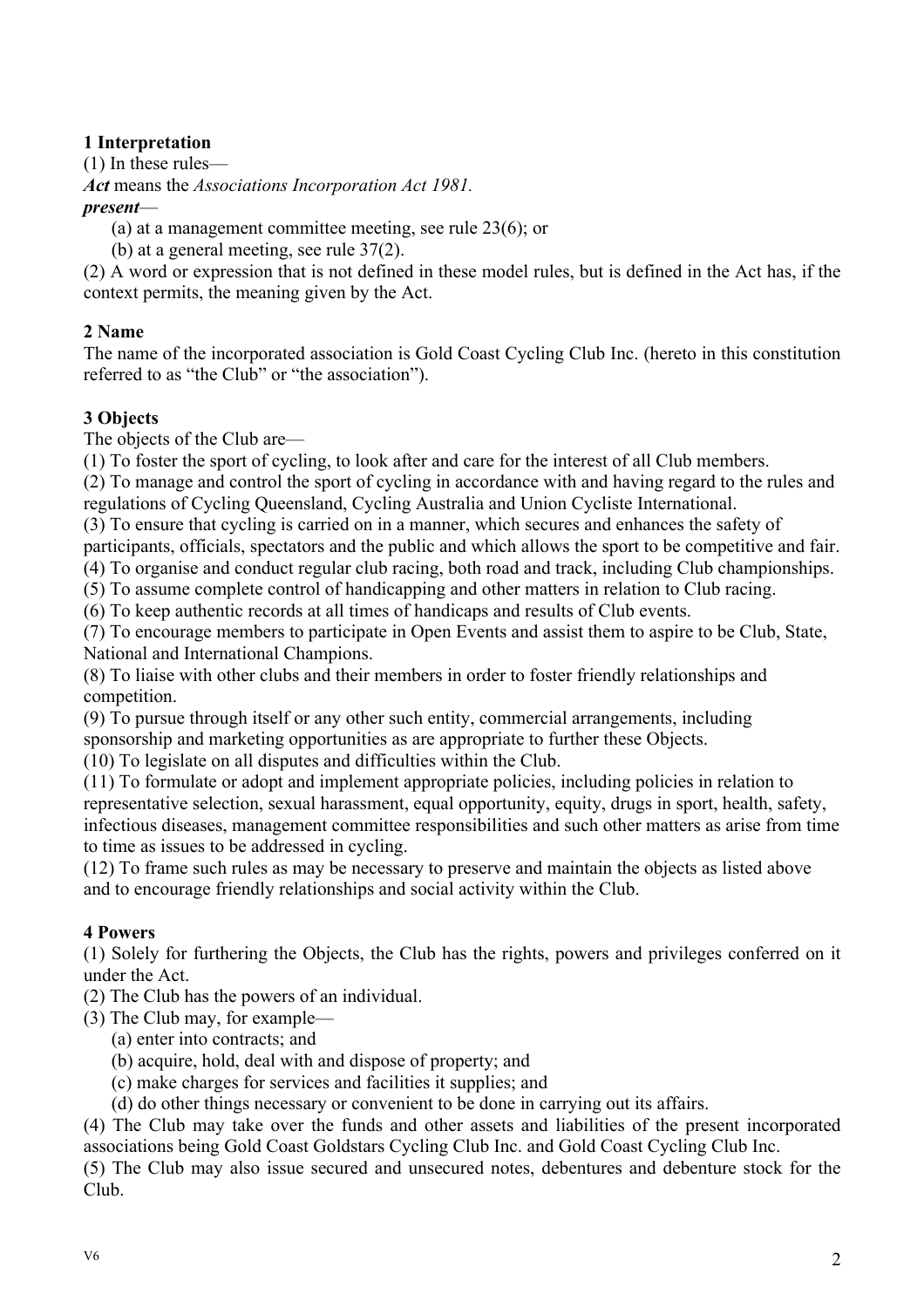# **1 Interpretation**

(1) In these rules—

*Act* means the *Associations Incorporation Act 1981.*

## *present*—

(a) at a management committee meeting, see rule 23(6); or

(b) at a general meeting, see rule 37(2).

(2) A word or expression that is not defined in these model rules, but is defined in the Act has, if the context permits, the meaning given by the Act.

# **2 Name**

The name of the incorporated association is Gold Coast Cycling Club Inc. (hereto in this constitution referred to as "the Club" or "the association").

# **3 Objects**

The objects of the Club are—

(1) To foster the sport of cycling, to look after and care for the interest of all Club members.

(2) To manage and control the sport of cycling in accordance with and having regard to the rules and regulations of Cycling Queensland, Cycling Australia and Union Cycliste International.

(3) To ensure that cycling is carried on in a manner, which secures and enhances the safety of participants, officials, spectators and the public and which allows the sport to be competitive and fair.

(4) To organise and conduct regular club racing, both road and track, including Club championships.

(5) To assume complete control of handicapping and other matters in relation to Club racing.

(6) To keep authentic records at all times of handicaps and results of Club events.

(7) To encourage members to participate in Open Events and assist them to aspire to be Club, State, National and International Champions.

(8) To liaise with other clubs and their members in order to foster friendly relationships and competition.

(9) To pursue through itself or any other such entity, commercial arrangements, including sponsorship and marketing opportunities as are appropriate to further these Objects.

(10) To legislate on all disputes and difficulties within the Club.

(11) To formulate or adopt and implement appropriate policies, including policies in relation to representative selection, sexual harassment, equal opportunity, equity, drugs in sport, health, safety, infectious diseases, management committee responsibilities and such other matters as arise from time to time as issues to be addressed in cycling.

(12) To frame such rules as may be necessary to preserve and maintain the objects as listed above and to encourage friendly relationships and social activity within the Club.

# **4 Powers**

(1) Solely for furthering the Objects, the Club has the rights, powers and privileges conferred on it under the Act.

(2) The Club has the powers of an individual.

(3) The Club may, for example—

- (a) enter into contracts; and
- (b) acquire, hold, deal with and dispose of property; and
- (c) make charges for services and facilities it supplies; and

(d) do other things necessary or convenient to be done in carrying out its affairs.

(4) The Club may take over the funds and other assets and liabilities of the present incorporated associations being Gold Coast Goldstars Cycling Club Inc. and Gold Coast Cycling Club Inc.

(5) The Club may also issue secured and unsecured notes, debentures and debenture stock for the Club.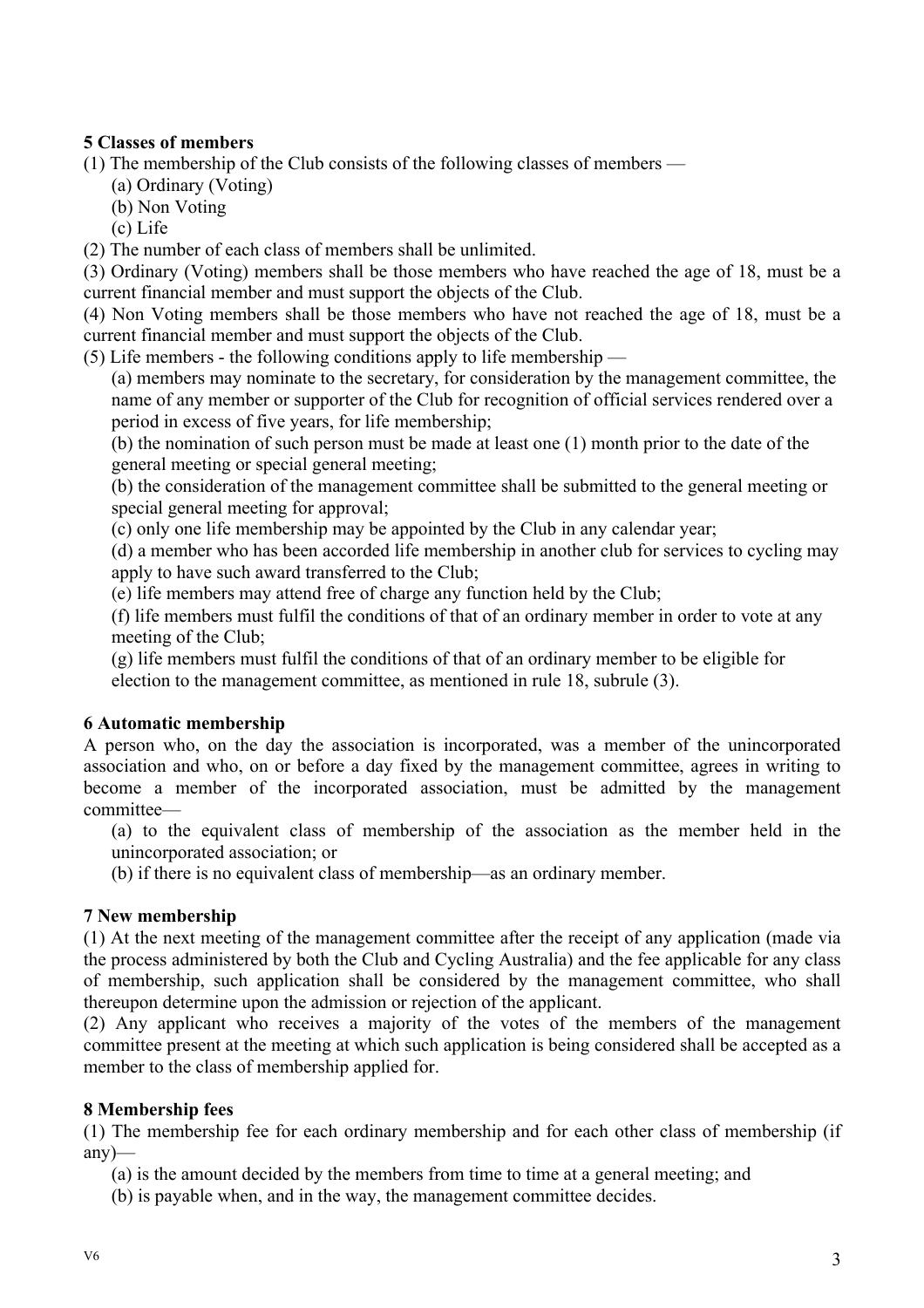## **5 Classes of members**

(1) The membership of the Club consists of the following classes of members —

- (a) Ordinary (Voting)
- (b) Non Voting

(c) Life

(2) The number of each class of members shall be unlimited.

(3) Ordinary (Voting) members shall be those members who have reached the age of 18, must be a current financial member and must support the objects of the Club.

(4) Non Voting members shall be those members who have not reached the age of 18, must be a current financial member and must support the objects of the Club.

(5) Life members - the following conditions apply to life membership —

(a) members may nominate to the secretary, for consideration by the management committee, the name of any member or supporter of the Club for recognition of official services rendered over a period in excess of five years, for life membership;

(b) the nomination of such person must be made at least one (1) month prior to the date of the general meeting or special general meeting;

(b) the consideration of the management committee shall be submitted to the general meeting or special general meeting for approval;

(c) only one life membership may be appointed by the Club in any calendar year;

(d) a member who has been accorded life membership in another club for services to cycling may apply to have such award transferred to the Club;

(e) life members may attend free of charge any function held by the Club;

(f) life members must fulfil the conditions of that of an ordinary member in order to vote at any meeting of the Club;

(g) life members must fulfil the conditions of that of an ordinary member to be eligible for election to the management committee, as mentioned in rule 18, subrule (3).

## **6 Automatic membership**

A person who, on the day the association is incorporated, was a member of the unincorporated association and who, on or before a day fixed by the management committee, agrees in writing to become a member of the incorporated association, must be admitted by the management committee—

(a) to the equivalent class of membership of the association as the member held in the unincorporated association; or

(b) if there is no equivalent class of membership—as an ordinary member.

## **7 New membership**

(1) At the next meeting of the management committee after the receipt of any application (made via the process administered by both the Club and Cycling Australia) and the fee applicable for any class of membership, such application shall be considered by the management committee, who shall thereupon determine upon the admission or rejection of the applicant.

(2) Any applicant who receives a majority of the votes of the members of the management committee present at the meeting at which such application is being considered shall be accepted as a member to the class of membership applied for.

## **8 Membership fees**

(1) The membership fee for each ordinary membership and for each other class of membership (if any)—

(a) is the amount decided by the members from time to time at a general meeting; and

(b) is payable when, and in the way, the management committee decides.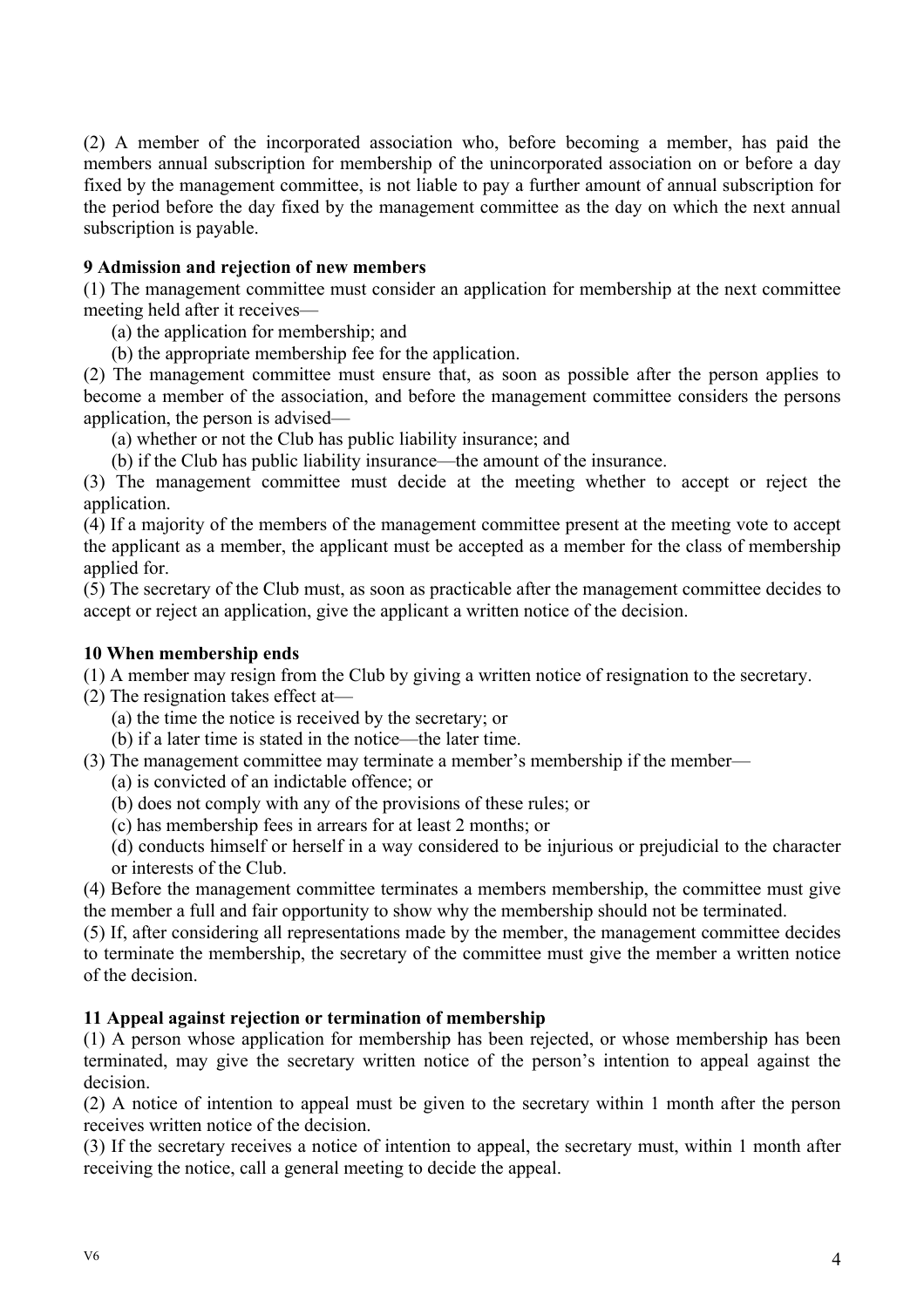(2) A member of the incorporated association who, before becoming a member, has paid the members annual subscription for membership of the unincorporated association on or before a day fixed by the management committee, is not liable to pay a further amount of annual subscription for the period before the day fixed by the management committee as the day on which the next annual subscription is payable.

## **9 Admission and rejection of new members**

(1) The management committee must consider an application for membership at the next committee meeting held after it receives—

(a) the application for membership; and

(b) the appropriate membership fee for the application.

(2) The management committee must ensure that, as soon as possible after the person applies to become a member of the association, and before the management committee considers the persons application, the person is advised—

(a) whether or not the Club has public liability insurance; and

(b) if the Club has public liability insurance—the amount of the insurance.

(3) The management committee must decide at the meeting whether to accept or reject the application.

(4) If a majority of the members of the management committee present at the meeting vote to accept the applicant as a member, the applicant must be accepted as a member for the class of membership applied for.

(5) The secretary of the Club must, as soon as practicable after the management committee decides to accept or reject an application, give the applicant a written notice of the decision.

## **10 When membership ends**

(1) A member may resign from the Club by giving a written notice of resignation to the secretary.

(2) The resignation takes effect at—

(a) the time the notice is received by the secretary; or

(b) if a later time is stated in the notice—the later time.

(3) The management committee may terminate a member's membership if the member—

- (a) is convicted of an indictable offence; or
- (b) does not comply with any of the provisions of these rules; or
- (c) has membership fees in arrears for at least 2 months; or

(d) conducts himself or herself in a way considered to be injurious or prejudicial to the character or interests of the Club.

(4) Before the management committee terminates a members membership, the committee must give the member a full and fair opportunity to show why the membership should not be terminated.

(5) If, after considering all representations made by the member, the management committee decides to terminate the membership, the secretary of the committee must give the member a written notice of the decision.

## **11 Appeal against rejection or termination of membership**

(1) A person whose application for membership has been rejected, or whose membership has been terminated, may give the secretary written notice of the person's intention to appeal against the decision.

(2) A notice of intention to appeal must be given to the secretary within 1 month after the person receives written notice of the decision.

(3) If the secretary receives a notice of intention to appeal, the secretary must, within 1 month after receiving the notice, call a general meeting to decide the appeal.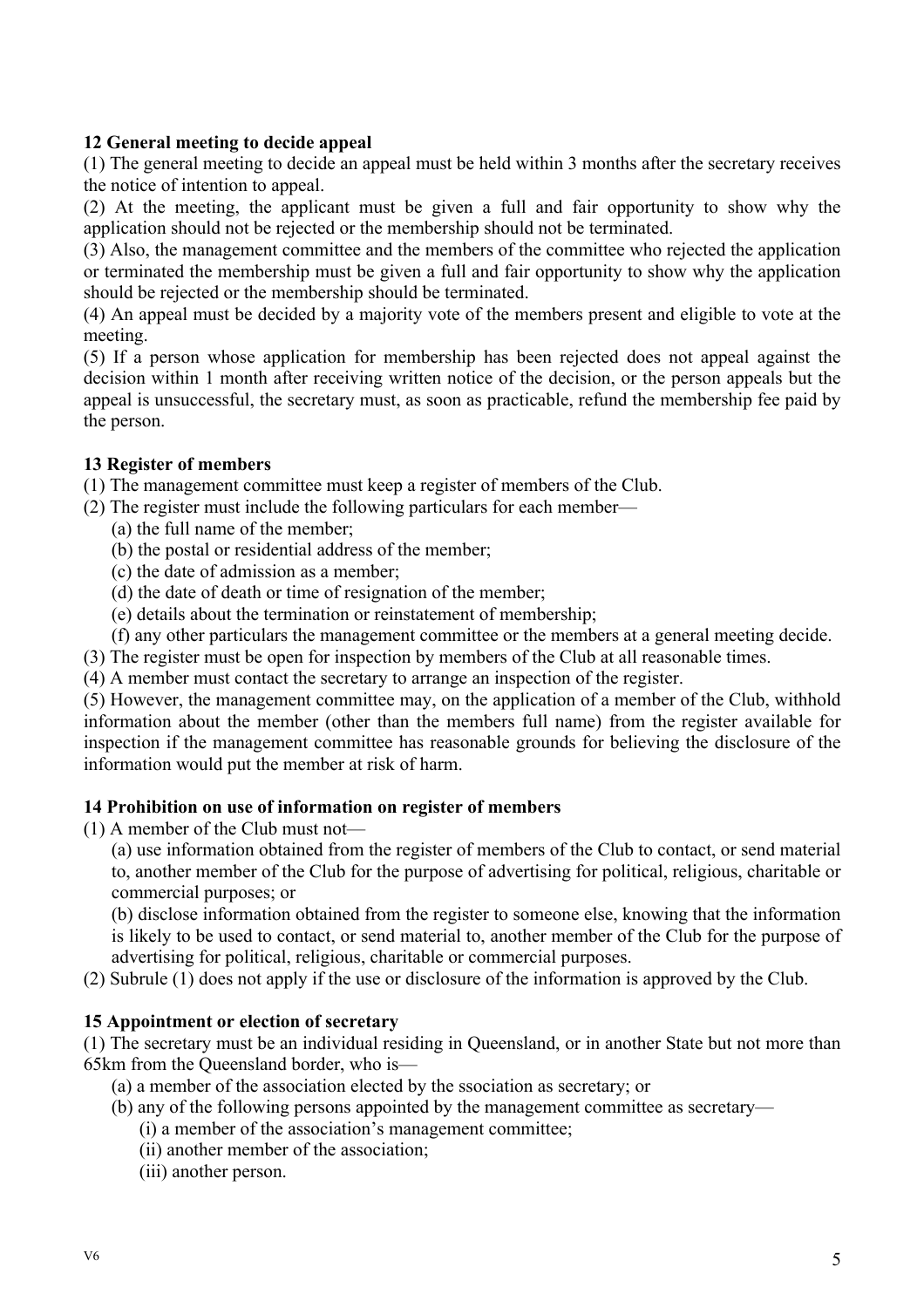## **12 General meeting to decide appeal**

(1) The general meeting to decide an appeal must be held within 3 months after the secretary receives the notice of intention to appeal.

(2) At the meeting, the applicant must be given a full and fair opportunity to show why the application should not be rejected or the membership should not be terminated.

(3) Also, the management committee and the members of the committee who rejected the application or terminated the membership must be given a full and fair opportunity to show why the application should be rejected or the membership should be terminated.

(4) An appeal must be decided by a majority vote of the members present and eligible to vote at the meeting.

(5) If a person whose application for membership has been rejected does not appeal against the decision within 1 month after receiving written notice of the decision, or the person appeals but the appeal is unsuccessful, the secretary must, as soon as practicable, refund the membership fee paid by the person.

## **13 Register of members**

(1) The management committee must keep a register of members of the Club.

- (2) The register must include the following particulars for each member—
	- (a) the full name of the member;
	- (b) the postal or residential address of the member;
	- (c) the date of admission as a member;
	- (d) the date of death or time of resignation of the member;
	- (e) details about the termination or reinstatement of membership;
	- (f) any other particulars the management committee or the members at a general meeting decide.
- (3) The register must be open for inspection by members of the Club at all reasonable times.
- (4) A member must contact the secretary to arrange an inspection of the register.

(5) However, the management committee may, on the application of a member of the Club, withhold information about the member (other than the members full name) from the register available for inspection if the management committee has reasonable grounds for believing the disclosure of the information would put the member at risk of harm.

#### **14 Prohibition on use of information on register of members**

- (1) A member of the Club must not—
	- (a) use information obtained from the register of members of the Club to contact, or send material to, another member of the Club for the purpose of advertising for political, religious, charitable or commercial purposes; or

(b) disclose information obtained from the register to someone else, knowing that the information is likely to be used to contact, or send material to, another member of the Club for the purpose of advertising for political, religious, charitable or commercial purposes.

(2) Subrule (1) does not apply if the use or disclosure of the information is approved by the Club.

#### **15 Appointment or election of secretary**

(1) The secretary must be an individual residing in Queensland, or in another State but not more than 65km from the Queensland border, who is—

(a) a member of the association elected by the ssociation as secretary; or

- (b) any of the following persons appointed by the management committee as secretary—
	- (i) a member of the association's management committee;
	- (ii) another member of the association;
	- (iii) another person.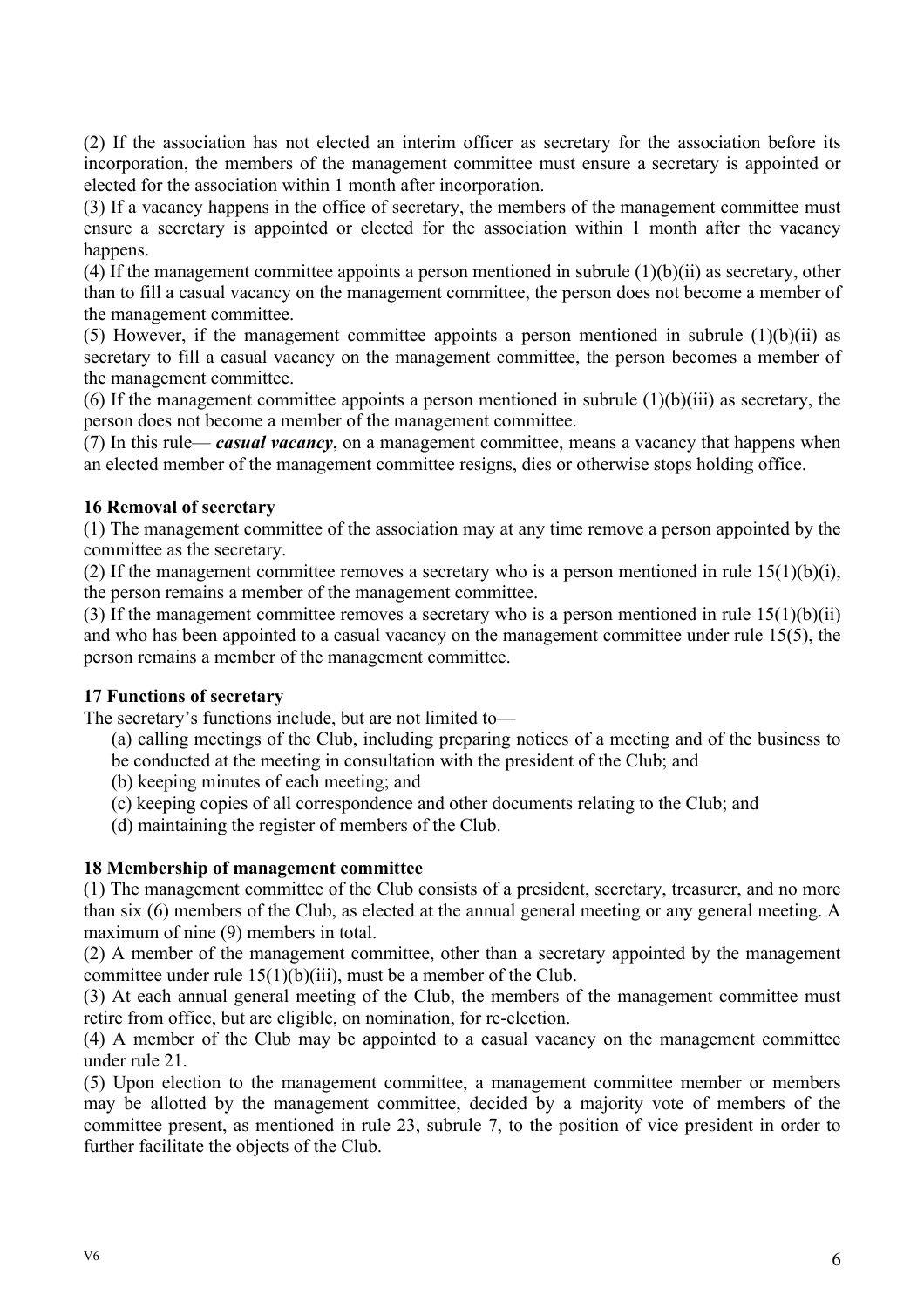(2) If the association has not elected an interim officer as secretary for the association before its incorporation, the members of the management committee must ensure a secretary is appointed or elected for the association within 1 month after incorporation.

(3) If a vacancy happens in the office of secretary, the members of the management committee must ensure a secretary is appointed or elected for the association within 1 month after the vacancy happens.

(4) If the management committee appoints a person mentioned in subrule (1)(b)(ii) as secretary, other than to fill a casual vacancy on the management committee, the person does not become a member of the management committee.

(5) However, if the management committee appoints a person mentioned in subrule  $(1)(b)(ii)$  as secretary to fill a casual vacancy on the management committee, the person becomes a member of the management committee.

(6) If the management committee appoints a person mentioned in subrule  $(1)(b)(iii)$  as secretary, the person does not become a member of the management committee.

(7) In this rule— *casual vacancy*, on a management committee, means a vacancy that happens when an elected member of the management committee resigns, dies or otherwise stops holding office.

## **16 Removal of secretary**

(1) The management committee of the association may at any time remove a person appointed by the committee as the secretary.

(2) If the management committee removes a secretary who is a person mentioned in rule  $15(1)(b)(i)$ , the person remains a member of the management committee.

(3) If the management committee removes a secretary who is a person mentioned in rule  $15(1)(b)(ii)$ and who has been appointed to a casual vacancy on the management committee under rule  $15(5)$ , the person remains a member of the management committee.

## **17 Functions of secretary**

The secretary's functions include, but are not limited to—

- (a) calling meetings of the Club, including preparing notices of a meeting and of the business to be conducted at the meeting in consultation with the president of the Club; and
- (b) keeping minutes of each meeting; and
- (c) keeping copies of all correspondence and other documents relating to the Club; and
- (d) maintaining the register of members of the Club.

## **18 Membership of management committee**

(1) The management committee of the Club consists of a president, secretary, treasurer, and no more than six (6) members of the Club, as elected at the annual general meeting or any general meeting. A maximum of nine (9) members in total.

(2) A member of the management committee, other than a secretary appointed by the management committee under rule 15(1)(b)(iii), must be a member of the Club.

(3) At each annual general meeting of the Club, the members of the management committee must retire from office, but are eligible, on nomination, for re-election.

(4) A member of the Club may be appointed to a casual vacancy on the management committee under rule 21.

(5) Upon election to the management committee, a management committee member or members may be allotted by the management committee, decided by a majority vote of members of the committee present, as mentioned in rule 23, subrule 7, to the position of vice president in order to further facilitate the objects of the Club.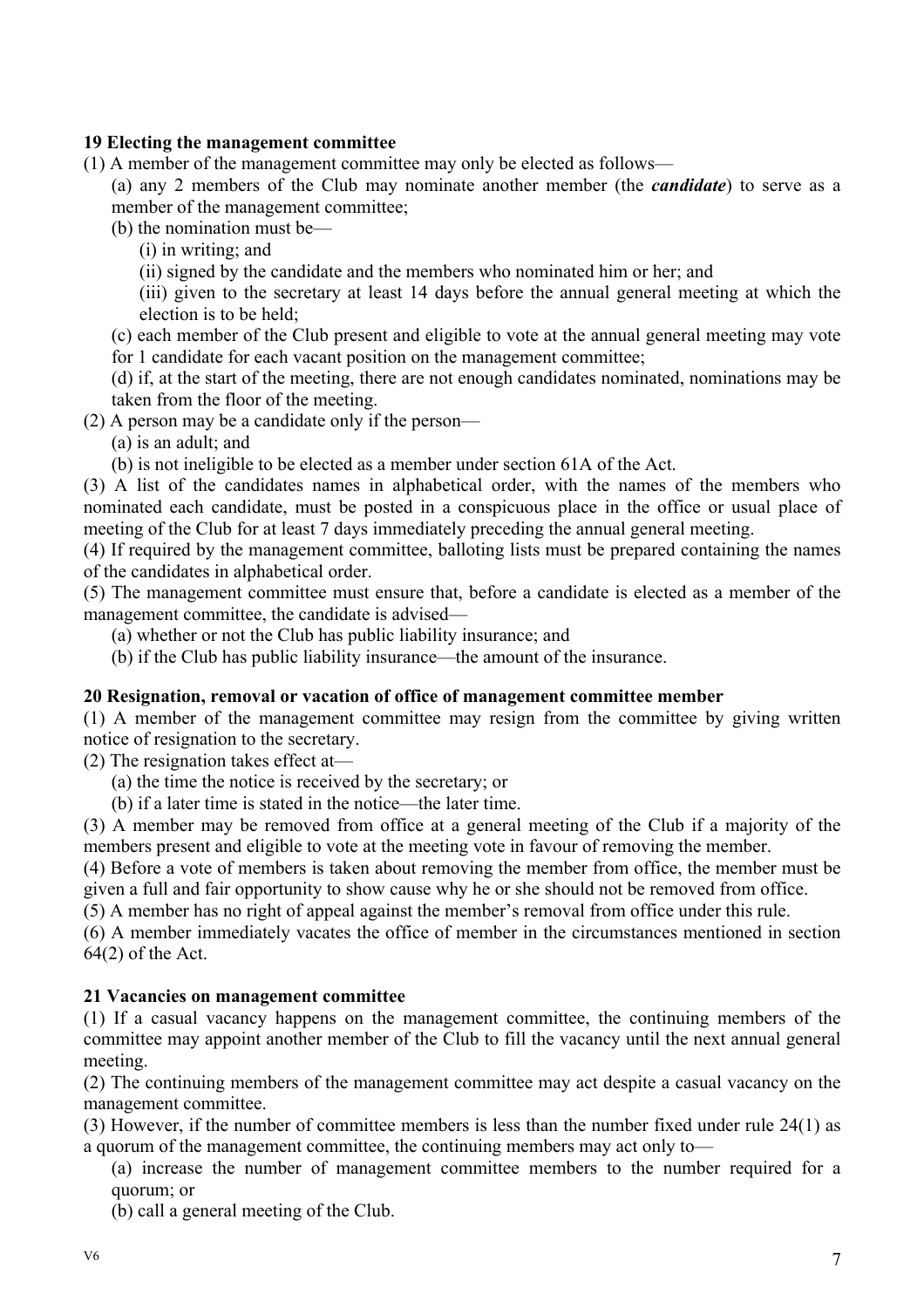## **19 Electing the management committee**

(1) A member of the management committee may only be elected as follows—

(a) any 2 members of the Club may nominate another member (the *candidate*) to serve as a member of the management committee;

(b) the nomination must be—

(i) in writing; and

(ii) signed by the candidate and the members who nominated him or her; and

(iii) given to the secretary at least 14 days before the annual general meeting at which the election is to be held;

(c) each member of the Club present and eligible to vote at the annual general meeting may vote for 1 candidate for each vacant position on the management committee;

(d) if, at the start of the meeting, there are not enough candidates nominated, nominations may be taken from the floor of the meeting.

(2) A person may be a candidate only if the person—

(a) is an adult; and

(b) is not ineligible to be elected as a member under section 61A of the Act.

(3) A list of the candidates names in alphabetical order, with the names of the members who nominated each candidate, must be posted in a conspicuous place in the office or usual place of meeting of the Club for at least 7 days immediately preceding the annual general meeting.

(4) If required by the management committee, balloting lists must be prepared containing the names of the candidates in alphabetical order.

(5) The management committee must ensure that, before a candidate is elected as a member of the management committee, the candidate is advised—

(a) whether or not the Club has public liability insurance; and

(b) if the Club has public liability insurance—the amount of the insurance.

#### **20 Resignation, removal or vacation of office of management committee member**

(1) A member of the management committee may resign from the committee by giving written notice of resignation to the secretary.

(2) The resignation takes effect at—

(a) the time the notice is received by the secretary; or

(b) if a later time is stated in the notice—the later time.

(3) A member may be removed from office at a general meeting of the Club if a majority of the members present and eligible to vote at the meeting vote in favour of removing the member.

(4) Before a vote of members is taken about removing the member from office, the member must be given a full and fair opportunity to show cause why he or she should not be removed from office.

(5) A member has no right of appeal against the member's removal from office under this rule.

(6) A member immediately vacates the office of member in the circumstances mentioned in section 64(2) of the Act.

#### **21 Vacancies on management committee**

(1) If a casual vacancy happens on the management committee, the continuing members of the committee may appoint another member of the Club to fill the vacancy until the next annual general meeting.

(2) The continuing members of the management committee may act despite a casual vacancy on the management committee.

(3) However, if the number of committee members is less than the number fixed under rule 24(1) as a quorum of the management committee, the continuing members may act only to—

(a) increase the number of management committee members to the number required for a quorum; or

(b) call a general meeting of the Club.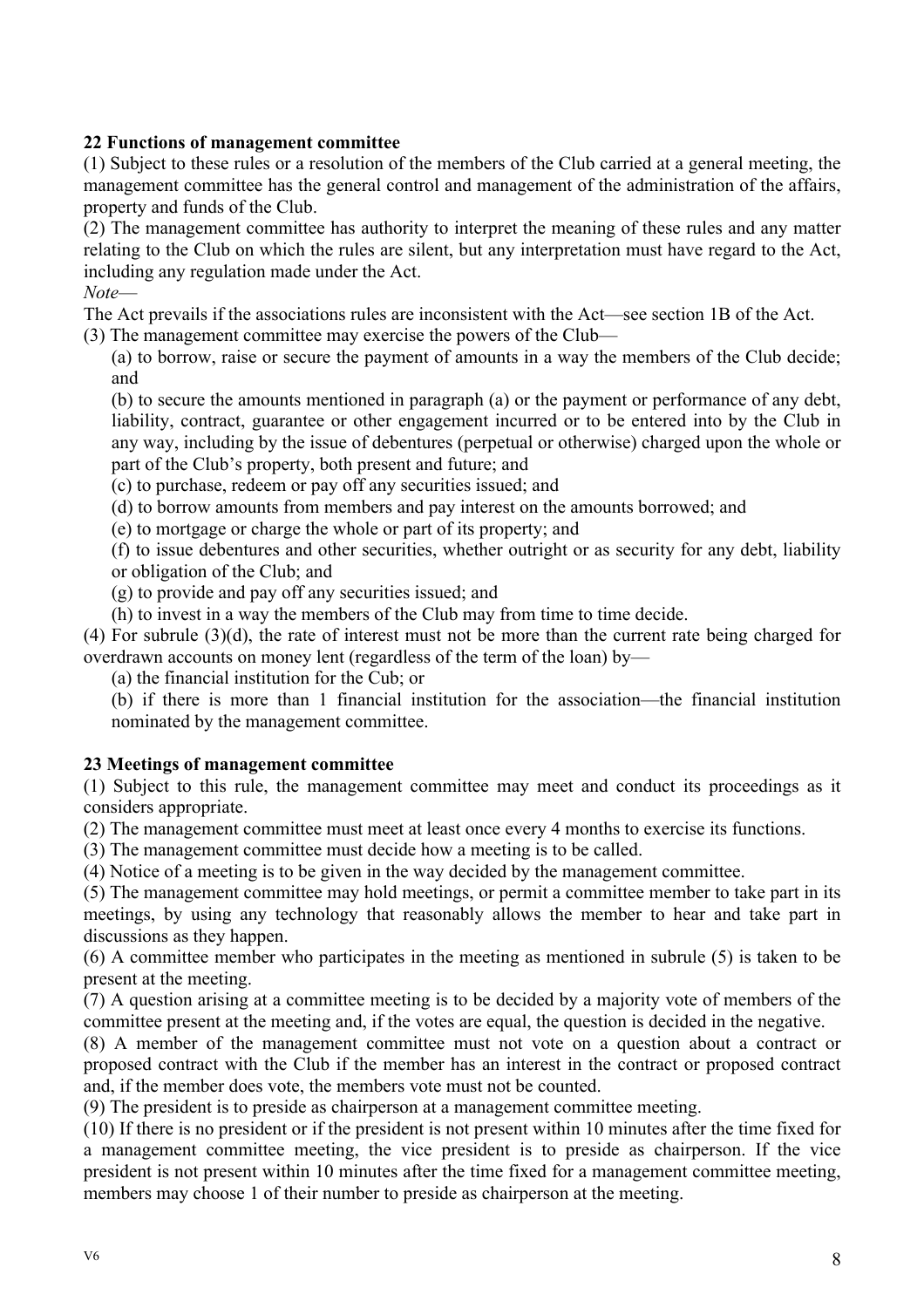## **22 Functions of management committee**

(1) Subject to these rules or a resolution of the members of the Club carried at a general meeting, the management committee has the general control and management of the administration of the affairs, property and funds of the Club.

(2) The management committee has authority to interpret the meaning of these rules and any matter relating to the Club on which the rules are silent, but any interpretation must have regard to the Act, including any regulation made under the Act.

*Note*—

The Act prevails if the associations rules are inconsistent with the Act—see section 1B of the Act.

(3) The management committee may exercise the powers of the Club—

(a) to borrow, raise or secure the payment of amounts in a way the members of the Club decide; and

(b) to secure the amounts mentioned in paragraph (a) or the payment or performance of any debt, liability, contract, guarantee or other engagement incurred or to be entered into by the Club in any way, including by the issue of debentures (perpetual or otherwise) charged upon the whole or part of the Club's property, both present and future; and

(c) to purchase, redeem or pay off any securities issued; and

(d) to borrow amounts from members and pay interest on the amounts borrowed; and

(e) to mortgage or charge the whole or part of its property; and

(f) to issue debentures and other securities, whether outright or as security for any debt, liability or obligation of the Club; and

(g) to provide and pay off any securities issued; and

(h) to invest in a way the members of the Club may from time to time decide.

(4) For subrule (3)(d), the rate of interest must not be more than the current rate being charged for overdrawn accounts on money lent (regardless of the term of the loan) by—

(a) the financial institution for the Cub; or

(b) if there is more than 1 financial institution for the association—the financial institution nominated by the management committee.

## **23 Meetings of management committee**

(1) Subject to this rule, the management committee may meet and conduct its proceedings as it considers appropriate.

(2) The management committee must meet at least once every 4 months to exercise its functions.

(3) The management committee must decide how a meeting is to be called.

(4) Notice of a meeting is to be given in the way decided by the management committee.

(5) The management committee may hold meetings, or permit a committee member to take part in its meetings, by using any technology that reasonably allows the member to hear and take part in discussions as they happen.

(6) A committee member who participates in the meeting as mentioned in subrule (5) is taken to be present at the meeting.

(7) A question arising at a committee meeting is to be decided by a majority vote of members of the committee present at the meeting and, if the votes are equal, the question is decided in the negative.

(8) A member of the management committee must not vote on a question about a contract or proposed contract with the Club if the member has an interest in the contract or proposed contract and, if the member does vote, the members vote must not be counted.

(9) The president is to preside as chairperson at a management committee meeting.

(10) If there is no president or if the president is not present within 10 minutes after the time fixed for a management committee meeting, the vice president is to preside as chairperson. If the vice president is not present within 10 minutes after the time fixed for a management committee meeting, members may choose 1 of their number to preside as chairperson at the meeting.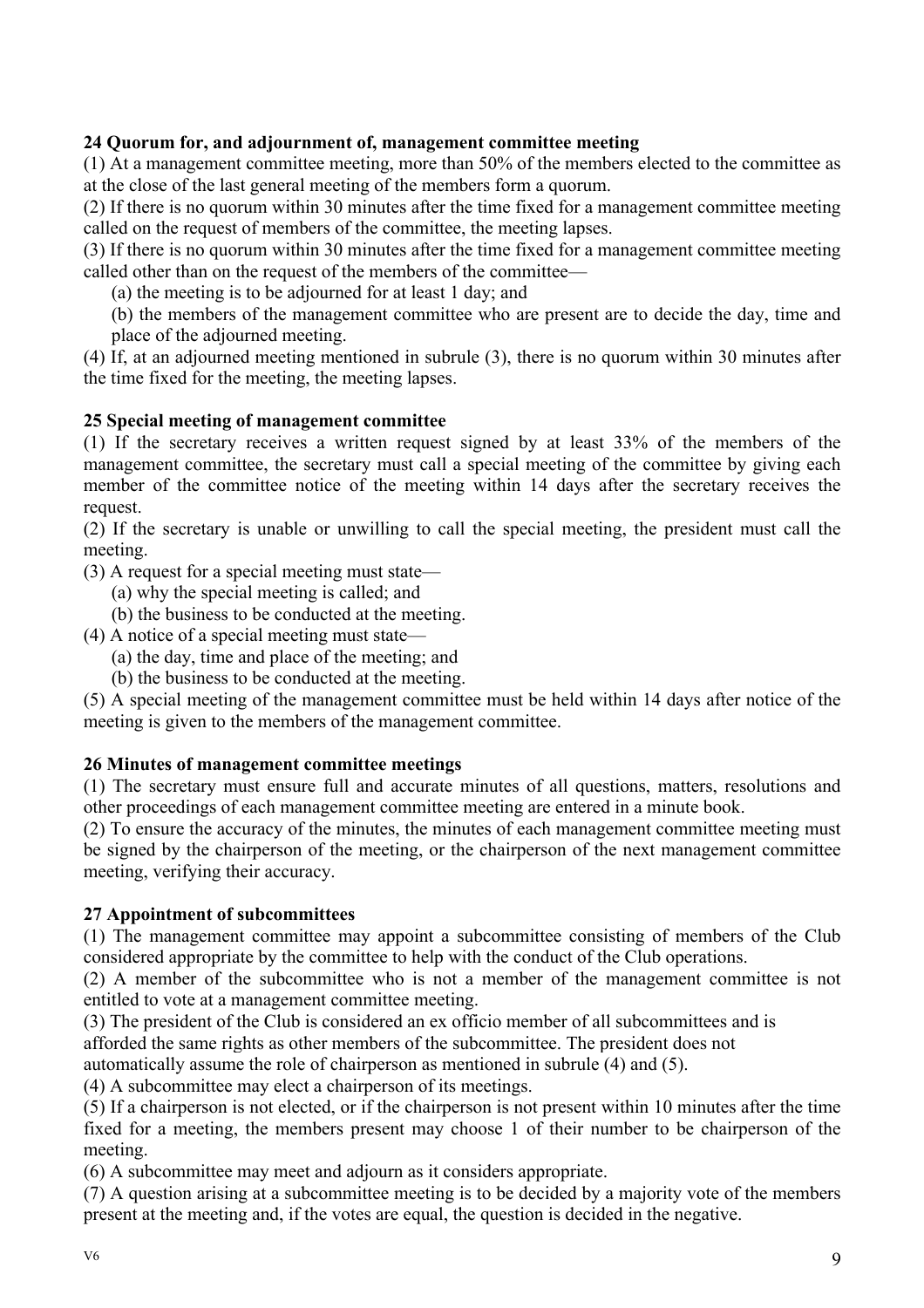## **24 Quorum for, and adjournment of, management committee meeting**

(1) At a management committee meeting, more than 50% of the members elected to the committee as at the close of the last general meeting of the members form a quorum.

(2) If there is no quorum within 30 minutes after the time fixed for a management committee meeting called on the request of members of the committee, the meeting lapses.

(3) If there is no quorum within 30 minutes after the time fixed for a management committee meeting called other than on the request of the members of the committee—

(a) the meeting is to be adjourned for at least 1 day; and

(b) the members of the management committee who are present are to decide the day, time and place of the adjourned meeting.

(4) If, at an adjourned meeting mentioned in subrule (3), there is no quorum within 30 minutes after the time fixed for the meeting, the meeting lapses.

#### **25 Special meeting of management committee**

(1) If the secretary receives a written request signed by at least 33% of the members of the management committee, the secretary must call a special meeting of the committee by giving each member of the committee notice of the meeting within 14 days after the secretary receives the request.

(2) If the secretary is unable or unwilling to call the special meeting, the president must call the meeting.

(3) A request for a special meeting must state—

- (a) why the special meeting is called; and
- (b) the business to be conducted at the meeting.
- (4) A notice of a special meeting must state—
	- (a) the day, time and place of the meeting; and
	- (b) the business to be conducted at the meeting.

(5) A special meeting of the management committee must be held within 14 days after notice of the meeting is given to the members of the management committee.

#### **26 Minutes of management committee meetings**

(1) The secretary must ensure full and accurate minutes of all questions, matters, resolutions and other proceedings of each management committee meeting are entered in a minute book.

(2) To ensure the accuracy of the minutes, the minutes of each management committee meeting must be signed by the chairperson of the meeting, or the chairperson of the next management committee meeting, verifying their accuracy.

#### **27 Appointment of subcommittees**

(1) The management committee may appoint a subcommittee consisting of members of the Club considered appropriate by the committee to help with the conduct of the Club operations.

(2) A member of the subcommittee who is not a member of the management committee is not entitled to vote at a management committee meeting.

(3) The president of the Club is considered an ex officio member of all subcommittees and is

afforded the same rights as other members of the subcommittee. The president does not

automatically assume the role of chairperson as mentioned in subrule (4) and (5).

(4) A subcommittee may elect a chairperson of its meetings.

(5) If a chairperson is not elected, or if the chairperson is not present within 10 minutes after the time fixed for a meeting, the members present may choose 1 of their number to be chairperson of the meeting.

(6) A subcommittee may meet and adjourn as it considers appropriate.

(7) A question arising at a subcommittee meeting is to be decided by a majority vote of the members present at the meeting and, if the votes are equal, the question is decided in the negative.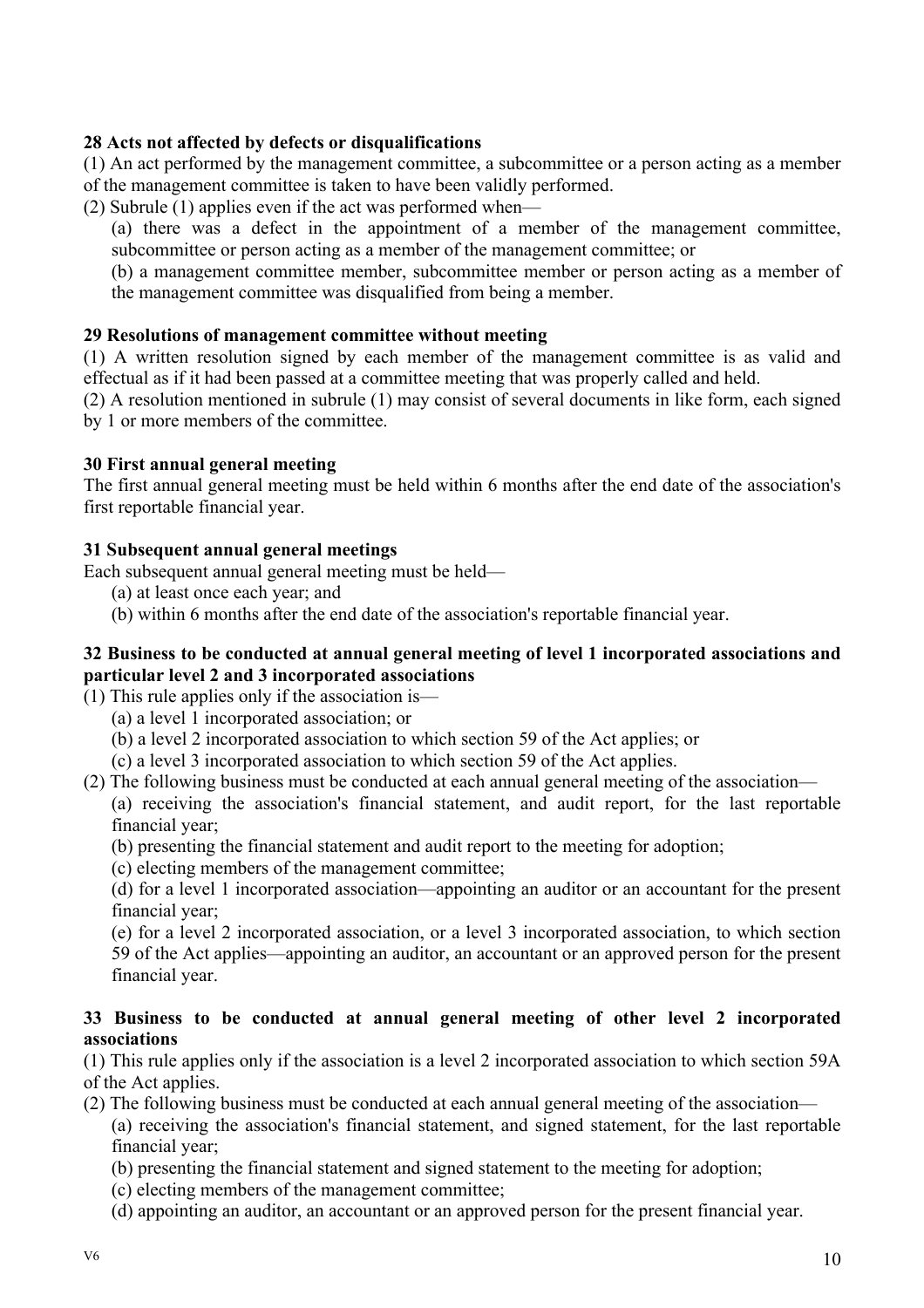## **28 Acts not affected by defects or disqualifications**

(1) An act performed by the management committee, a subcommittee or a person acting as a member of the management committee is taken to have been validly performed.

- (2) Subrule (1) applies even if the act was performed when—
	- (a) there was a defect in the appointment of a member of the management committee, subcommittee or person acting as a member of the management committee; or

(b) a management committee member, subcommittee member or person acting as a member of the management committee was disqualified from being a member.

## **29 Resolutions of management committee without meeting**

(1) A written resolution signed by each member of the management committee is as valid and effectual as if it had been passed at a committee meeting that was properly called and held.

(2) A resolution mentioned in subrule (1) may consist of several documents in like form, each signed by 1 or more members of the committee.

## **30 First annual general meeting**

The first annual general meeting must be held within 6 months after the end date of the association's first reportable financial year.

## **31 Subsequent annual general meetings**

Each subsequent annual general meeting must be held—

- (a) at least once each year; and
- (b) within 6 months after the end date of the association's reportable financial year.

## **32 Business to be conducted at annual general meeting of level 1 incorporated associations and particular level 2 and 3 incorporated associations**

(1) This rule applies only if the association is—

- (a) a level 1 incorporated association; or
- (b) a level 2 incorporated association to which section 59 of the Act applies; or
- (c) a level 3 incorporated association to which section 59 of the Act applies.
- (2) The following business must be conducted at each annual general meeting of the association— (a) receiving the association's financial statement, and audit report, for the last reportable
	- financial year;
	- (b) presenting the financial statement and audit report to the meeting for adoption;
	- (c) electing members of the management committee;
	- (d) for a level 1 incorporated association—appointing an auditor or an accountant for the present financial year;

(e) for a level 2 incorporated association, or a level 3 incorporated association, to which section 59 of the Act applies—appointing an auditor, an accountant or an approved person for the present financial year.

## **33 Business to be conducted at annual general meeting of other level 2 incorporated associations**

(1) This rule applies only if the association is a level 2 incorporated association to which section 59A of the Act applies.

(2) The following business must be conducted at each annual general meeting of the association—

(a) receiving the association's financial statement, and signed statement, for the last reportable financial year;

- (b) presenting the financial statement and signed statement to the meeting for adoption;
- (c) electing members of the management committee;
- (d) appointing an auditor, an accountant or an approved person for the present financial year.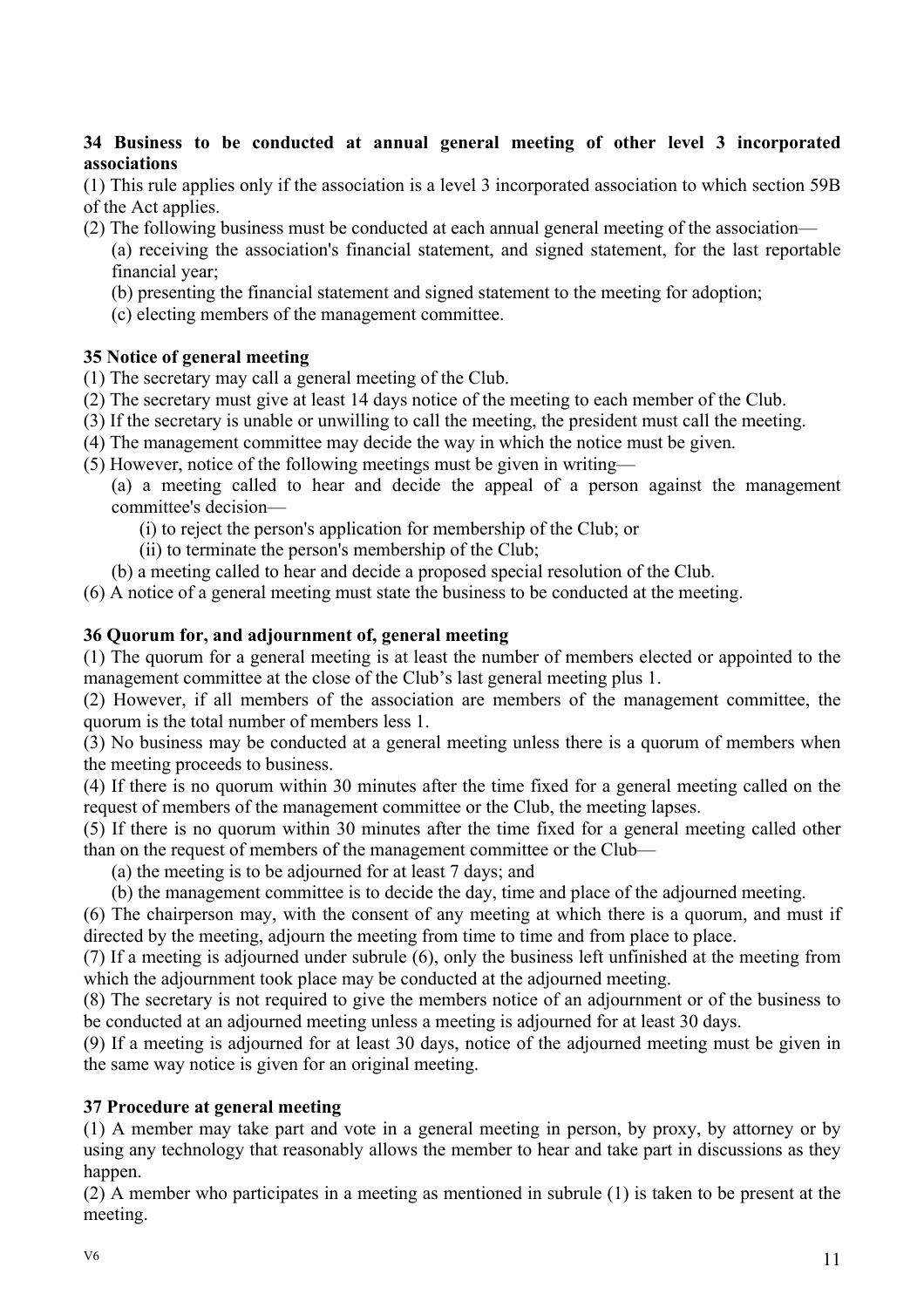#### **34 Business to be conducted at annual general meeting of other level 3 incorporated associations**

(1) This rule applies only if the association is a level 3 incorporated association to which section 59B of the Act applies.

- (2) The following business must be conducted at each annual general meeting of the association—
	- (a) receiving the association's financial statement, and signed statement, for the last reportable financial year;
	- (b) presenting the financial statement and signed statement to the meeting for adoption;
	- (c) electing members of the management committee.

## **35 Notice of general meeting**

- (1) The secretary may call a general meeting of the Club.
- (2) The secretary must give at least 14 days notice of the meeting to each member of the Club.
- (3) If the secretary is unable or unwilling to call the meeting, the president must call the meeting.
- (4) The management committee may decide the way in which the notice must be given.
- (5) However, notice of the following meetings must be given in writing—
	- (a) a meeting called to hear and decide the appeal of a person against the management committee's decision—
		- (i) to reject the person's application for membership of the Club; or
		- (ii) to terminate the person's membership of the Club;
	- (b) a meeting called to hear and decide a proposed special resolution of the Club.
- (6) A notice of a general meeting must state the business to be conducted at the meeting.

## **36 Quorum for, and adjournment of, general meeting**

(1) The quorum for a general meeting is at least the number of members elected or appointed to the management committee at the close of the Club's last general meeting plus 1.

(2) However, if all members of the association are members of the management committee, the quorum is the total number of members less 1.

(3) No business may be conducted at a general meeting unless there is a quorum of members when the meeting proceeds to business.

(4) If there is no quorum within 30 minutes after the time fixed for a general meeting called on the request of members of the management committee or the Club, the meeting lapses.

(5) If there is no quorum within 30 minutes after the time fixed for a general meeting called other than on the request of members of the management committee or the Club—

(a) the meeting is to be adjourned for at least 7 days; and

(b) the management committee is to decide the day, time and place of the adjourned meeting.

(6) The chairperson may, with the consent of any meeting at which there is a quorum, and must if directed by the meeting, adjourn the meeting from time to time and from place to place.

(7) If a meeting is adjourned under subrule (6), only the business left unfinished at the meeting from which the adjournment took place may be conducted at the adjourned meeting.

(8) The secretary is not required to give the members notice of an adjournment or of the business to be conducted at an adjourned meeting unless a meeting is adjourned for at least 30 days.

(9) If a meeting is adjourned for at least 30 days, notice of the adjourned meeting must be given in the same way notice is given for an original meeting.

# **37 Procedure at general meeting**

(1) A member may take part and vote in a general meeting in person, by proxy, by attorney or by using any technology that reasonably allows the member to hear and take part in discussions as they happen.

(2) A member who participates in a meeting as mentioned in subrule (1) is taken to be present at the meeting.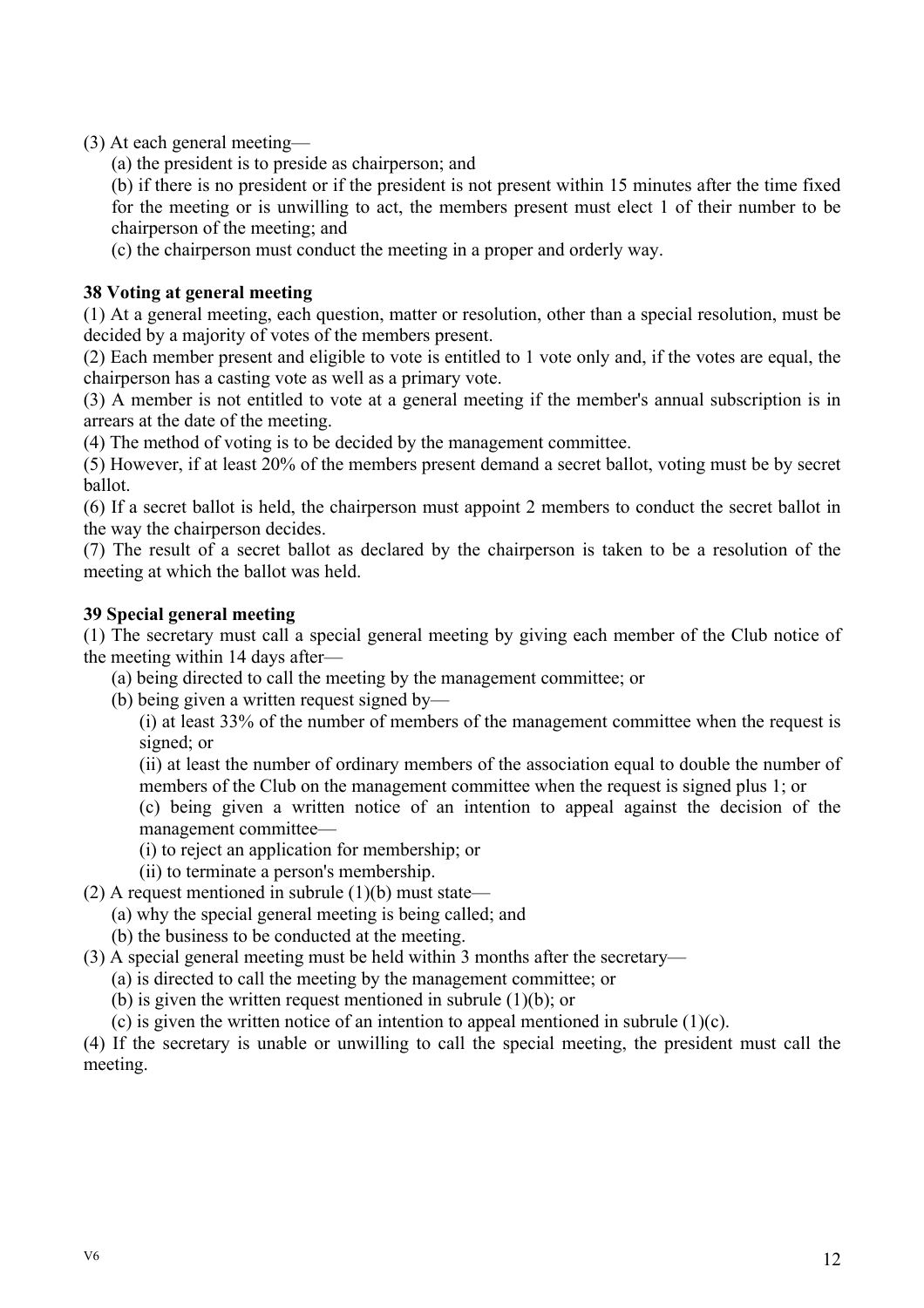(3) At each general meeting—

(a) the president is to preside as chairperson; and

(b) if there is no president or if the president is not present within 15 minutes after the time fixed for the meeting or is unwilling to act, the members present must elect 1 of their number to be chairperson of the meeting; and

(c) the chairperson must conduct the meeting in a proper and orderly way.

## **38 Voting at general meeting**

(1) At a general meeting, each question, matter or resolution, other than a special resolution, must be decided by a majority of votes of the members present.

(2) Each member present and eligible to vote is entitled to 1 vote only and, if the votes are equal, the chairperson has a casting vote as well as a primary vote.

(3) A member is not entitled to vote at a general meeting if the member's annual subscription is in arrears at the date of the meeting.

(4) The method of voting is to be decided by the management committee.

(5) However, if at least 20% of the members present demand a secret ballot, voting must be by secret ballot.

(6) If a secret ballot is held, the chairperson must appoint 2 members to conduct the secret ballot in the way the chairperson decides.

(7) The result of a secret ballot as declared by the chairperson is taken to be a resolution of the meeting at which the ballot was held.

#### **39 Special general meeting**

(1) The secretary must call a special general meeting by giving each member of the Club notice of the meeting within 14 days after—

(a) being directed to call the meeting by the management committee; or

(b) being given a written request signed by—

(i) at least 33% of the number of members of the management committee when the request is signed; or

(ii) at least the number of ordinary members of the association equal to double the number of members of the Club on the management committee when the request is signed plus 1; or

(c) being given a written notice of an intention to appeal against the decision of the management committee—

- (i) to reject an application for membership; or
- (ii) to terminate a person's membership.
- (2) A request mentioned in subrule  $(1)(b)$  must state—
	- (a) why the special general meeting is being called; and
	- (b) the business to be conducted at the meeting.
- (3) A special general meeting must be held within 3 months after the secretary—
	- (a) is directed to call the meeting by the management committee; or
	- (b) is given the written request mentioned in subrule (1)(b); or
	- (c) is given the written notice of an intention to appeal mentioned in subrule  $(1)(c)$ .

(4) If the secretary is unable or unwilling to call the special meeting, the president must call the meeting.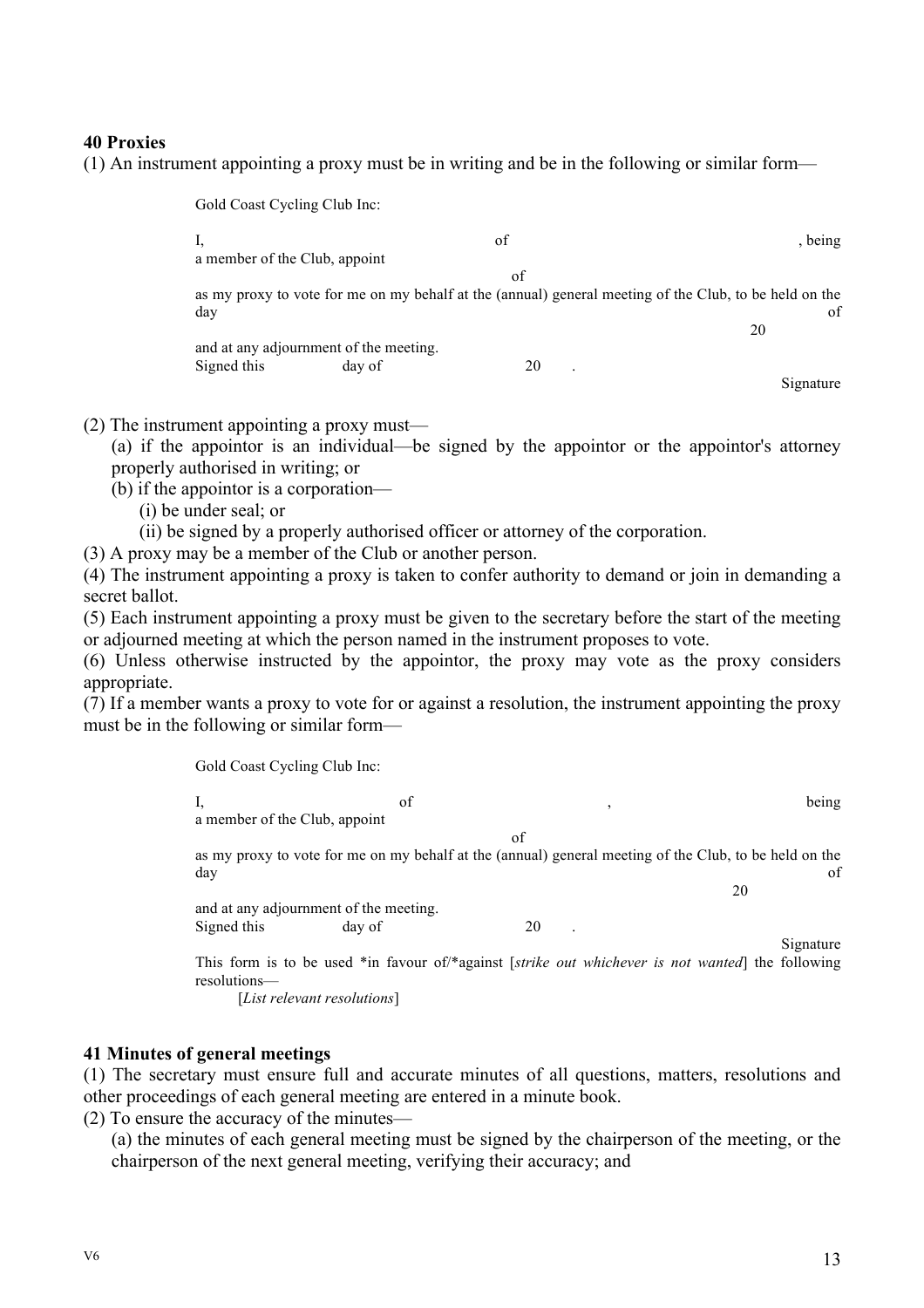#### **40 Proxies**

(1) An instrument appointing a proxy must be in writing and be in the following or similar form—

Gold Coast Cycling Club Inc: I, and the set of the set of  $\mathbf{I}$ , being a member of the Club, appoint of as my proxy to vote for me on my behalf at the (annual) general meeting of the Club, to be held on the day of the contract of the contract of the contract of the contract of the contract of the contract of the contract of the contract of the contract of the contract of the contract of the contract of the contract of the con 20 and at any adjournment of the meeting. Signed this day of 20 Signature

(2) The instrument appointing a proxy must—

(a) if the appointor is an individual—be signed by the appointor or the appointor's attorney properly authorised in writing; or

(b) if the appointor is a corporation—

(i) be under seal; or

(ii) be signed by a properly authorised officer or attorney of the corporation.

(3) A proxy may be a member of the Club or another person.

(4) The instrument appointing a proxy is taken to confer authority to demand or join in demanding a secret ballot.

(5) Each instrument appointing a proxy must be given to the secretary before the start of the meeting or adjourned meeting at which the person named in the instrument proposes to vote.

(6) Unless otherwise instructed by the appointor, the proxy may vote as the proxy considers appropriate.

(7) If a member wants a proxy to vote for or against a resolution, the instrument appointing the proxy must be in the following or similar form—

Gold Coast Cycling Club Inc:

|                               | of                                     | $\cdot$ | being                                                                                                                   |
|-------------------------------|----------------------------------------|---------|-------------------------------------------------------------------------------------------------------------------------|
| a member of the Club, appoint |                                        |         |                                                                                                                         |
|                               |                                        | of      |                                                                                                                         |
| day                           |                                        |         | as my proxy to vote for me on my behalf at the (annual) general meeting of the Club, to be held on the<br><sub>of</sub> |
|                               |                                        |         | 20                                                                                                                      |
|                               | and at any adjournment of the meeting. |         |                                                                                                                         |
| Signed this                   | day of                                 | 20      |                                                                                                                         |
| resolutions—                  |                                        |         | Signature<br>This form is to be used *in favour of/*against [strike out whichever is not wanted] the following          |

[*List relevant resolutions*]

#### **41 Minutes of general meetings**

(1) The secretary must ensure full and accurate minutes of all questions, matters, resolutions and other proceedings of each general meeting are entered in a minute book.

(2) To ensure the accuracy of the minutes—

(a) the minutes of each general meeting must be signed by the chairperson of the meeting, or the chairperson of the next general meeting, verifying their accuracy; and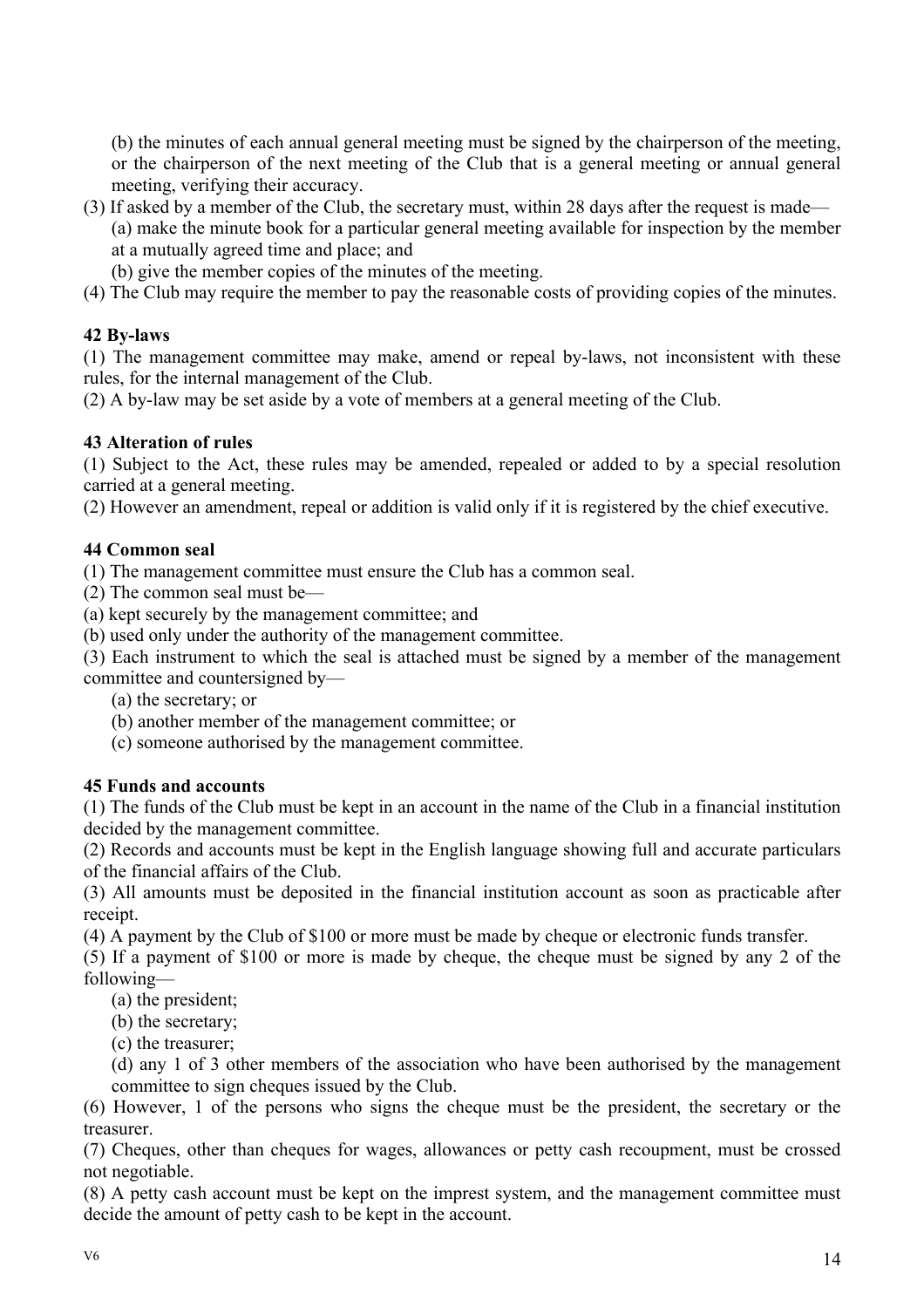(b) the minutes of each annual general meeting must be signed by the chairperson of the meeting, or the chairperson of the next meeting of the Club that is a general meeting or annual general meeting, verifying their accuracy.

- (3) If asked by a member of the Club, the secretary must, within 28 days after the request is made— (a) make the minute book for a particular general meeting available for inspection by the member at a mutually agreed time and place; and
	- (b) give the member copies of the minutes of the meeting.
- (4) The Club may require the member to pay the reasonable costs of providing copies of the minutes.

## **42 By-laws**

(1) The management committee may make, amend or repeal by-laws, not inconsistent with these rules, for the internal management of the Club.

(2) A by-law may be set aside by a vote of members at a general meeting of the Club.

## **43 Alteration of rules**

(1) Subject to the Act, these rules may be amended, repealed or added to by a special resolution carried at a general meeting.

(2) However an amendment, repeal or addition is valid only if it is registered by the chief executive.

#### **44 Common seal**

(1) The management committee must ensure the Club has a common seal.

(2) The common seal must be—

(a) kept securely by the management committee; and

(b) used only under the authority of the management committee.

(3) Each instrument to which the seal is attached must be signed by a member of the management

committee and countersigned by—

(a) the secretary; or

(b) another member of the management committee; or

(c) someone authorised by the management committee.

## **45 Funds and accounts**

(1) The funds of the Club must be kept in an account in the name of the Club in a financial institution decided by the management committee.

(2) Records and accounts must be kept in the English language showing full and accurate particulars of the financial affairs of the Club.

(3) All amounts must be deposited in the financial institution account as soon as practicable after receipt.

(4) A payment by the Club of \$100 or more must be made by cheque or electronic funds transfer.

(5) If a payment of \$100 or more is made by cheque, the cheque must be signed by any 2 of the following—

(a) the president;

(b) the secretary;

(c) the treasurer;

(d) any 1 of 3 other members of the association who have been authorised by the management committee to sign cheques issued by the Club.

(6) However, 1 of the persons who signs the cheque must be the president, the secretary or the treasurer.

(7) Cheques, other than cheques for wages, allowances or petty cash recoupment, must be crossed not negotiable.

(8) A petty cash account must be kept on the imprest system, and the management committee must decide the amount of petty cash to be kept in the account.